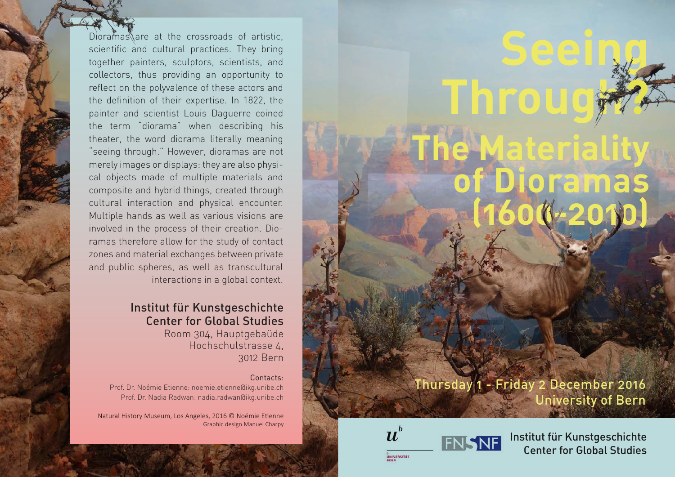Dioramas are at the crossroads of artistic,<br>
scientific and cultural practices. They bring<br>
together painters, sculptors, scientists, and<br>
collectors, thus providing an opportunity to<br>
reflect on the polyvalence of these a scientific and cultural practices. They bring together painters, sculptors, scientists, and collectors, thus providing an opportunity to reflect on the polyvalence of these actors and the definition of their expertise. In 1822, the painter and scientist Louis Daguerre coined the term "diorama" when describing his theater, the word diorama literally meaning "seeing through." However, dioramas are not merely images or displays: they are also physical objects made of multiple materials and composite and hybrid things, created through cultural interaction and physical encounter. Multiple hands as well as various visions are involved in the process of their creation. Dioramas therefore allow for the study of contact zones and material exchanges between private and public spheres, as well as transcultural interactions in a global context.

## Institut für Kunstgeschichte Center for Global Studies

Room 304, Hauptgebaüde Hochschulstrasse 4, 3012 Bern

#### Contacts:

Prof. Dr. Noémie Etienne: noemie.etienne@ikg.unibe.ch Prof. Dr. Nadia Radwan: nadia.radwan@ikg.unibe.ch

Natural History Museum, Los Angeles, 2016 © Noémie Etienne Graphic design Manuel Charpy

# **The Materiality of Dioramas (1600-2010)**

**Through?**

**Seeing**

## Thursday 1 - Friday 2 December 2016 University of Bern





Institut für Kunstgeschichte Center for Global Studies